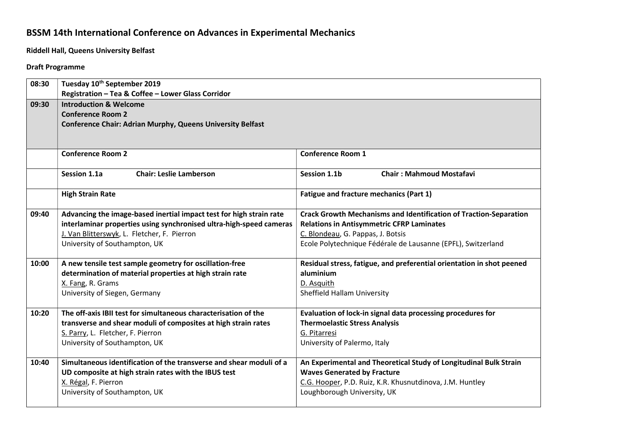## BSSM 14th International Conference on Advances in Experimental Mechanics

Riddell Hall, Queens University Belfast

## Draft Programme

| 08:30 | Tuesday 10th September 2019                                         |                                                                          |
|-------|---------------------------------------------------------------------|--------------------------------------------------------------------------|
|       | Registration - Tea & Coffee - Lower Glass Corridor                  |                                                                          |
| 09:30 | <b>Introduction &amp; Welcome</b>                                   |                                                                          |
|       | <b>Conference Room 2</b>                                            |                                                                          |
|       | <b>Conference Chair: Adrian Murphy, Queens University Belfast</b>   |                                                                          |
|       |                                                                     |                                                                          |
|       | <b>Conference Room 2</b>                                            | <b>Conference Room 1</b>                                                 |
|       |                                                                     |                                                                          |
|       | Session 1.1a<br><b>Chair: Leslie Lamberson</b>                      | Session 1.1b<br><b>Chair: Mahmoud Mostafavi</b>                          |
|       |                                                                     |                                                                          |
|       | <b>High Strain Rate</b>                                             | <b>Fatigue and fracture mechanics (Part 1)</b>                           |
| 09:40 | Advancing the image-based inertial impact test for high strain rate | <b>Crack Growth Mechanisms and Identification of Traction-Separation</b> |
|       | interlaminar properties using synchronised ultra-high-speed cameras | <b>Relations in Antisymmetric CFRP Laminates</b>                         |
|       | J. Van Blitterswyk, L. Fletcher, F. Pierron                         | C. Blondeau, G. Pappas, J. Botsis                                        |
|       | University of Southampton, UK                                       | Ecole Polytechnique Fédérale de Lausanne (EPFL), Switzerland             |
| 10:00 | A new tensile test sample geometry for oscillation-free             | Residual stress, fatigue, and preferential orientation in shot peened    |
|       | determination of material properties at high strain rate            | aluminium                                                                |
|       | X. Fang, R. Grams                                                   | D. Asquith                                                               |
|       | University of Siegen, Germany                                       | <b>Sheffield Hallam University</b>                                       |
|       |                                                                     |                                                                          |
| 10:20 | The off-axis IBII test for simultaneous characterisation of the     | Evaluation of lock-in signal data processing procedures for              |
|       | transverse and shear moduli of composites at high strain rates      | <b>Thermoelastic Stress Analysis</b>                                     |
|       | S. Parry, L. Fletcher, F. Pierron                                   | G. Pitarresi                                                             |
|       | University of Southampton, UK                                       | University of Palermo, Italy                                             |
| 10:40 | Simultaneous identification of the transverse and shear moduli of a | An Experimental and Theoretical Study of Longitudinal Bulk Strain        |
|       | UD composite at high strain rates with the IBUS test                | <b>Waves Generated by Fracture</b>                                       |
|       | X. Régal, F. Pierron                                                | C.G. Hooper, P.D. Ruiz, K.R. Khusnutdinova, J.M. Huntley                 |
|       | University of Southampton, UK                                       | Loughborough University, UK                                              |
|       |                                                                     |                                                                          |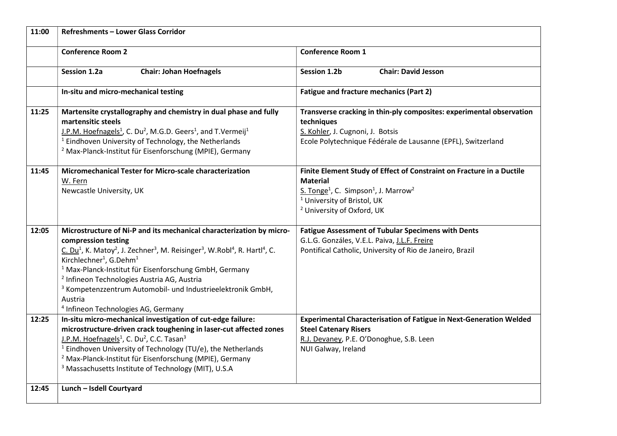| 11:00 | <b>Refreshments - Lower Glass Corridor</b>                                                                                                                                                                                                                                                                                                                                                                                                                                                                                                                                  |                                                                                                                                                                                                                                                         |
|-------|-----------------------------------------------------------------------------------------------------------------------------------------------------------------------------------------------------------------------------------------------------------------------------------------------------------------------------------------------------------------------------------------------------------------------------------------------------------------------------------------------------------------------------------------------------------------------------|---------------------------------------------------------------------------------------------------------------------------------------------------------------------------------------------------------------------------------------------------------|
|       | <b>Conference Room 2</b>                                                                                                                                                                                                                                                                                                                                                                                                                                                                                                                                                    | <b>Conference Room 1</b>                                                                                                                                                                                                                                |
|       | <b>Chair: Johan Hoefnagels</b><br>Session 1.2a                                                                                                                                                                                                                                                                                                                                                                                                                                                                                                                              | <b>Chair: David Jesson</b><br><b>Session 1.2b</b>                                                                                                                                                                                                       |
|       | In-situ and micro-mechanical testing                                                                                                                                                                                                                                                                                                                                                                                                                                                                                                                                        | <b>Fatigue and fracture mechanics (Part 2)</b>                                                                                                                                                                                                          |
| 11:25 | Martensite crystallography and chemistry in dual phase and fully<br>martensitic steels<br>J.P.M. Hoefnagels <sup>1</sup> , C. Du <sup>2</sup> , M.G.D. Geers <sup>1</sup> , and T.Vermeij <sup>1</sup><br><sup>1</sup> Eindhoven University of Technology, the Netherlands<br><sup>2</sup> Max-Planck-Institut für Eisenforschung (MPIE), Germany                                                                                                                                                                                                                           | Transverse cracking in thin-ply composites: experimental observation<br>techniques<br>S. Kohler, J. Cugnoni, J. Botsis<br>Ecole Polytechnique Fédérale de Lausanne (EPFL), Switzerland                                                                  |
| 11:45 | Micromechanical Tester for Micro-scale characterization<br>W. Fern<br>Newcastle University, UK                                                                                                                                                                                                                                                                                                                                                                                                                                                                              | Finite Element Study of Effect of Constraint on Fracture in a Ductile<br><b>Material</b><br>S. Tonge <sup>1</sup> , C. Simpson <sup>1</sup> , J. Marrow <sup>2</sup><br><sup>1</sup> University of Bristol, UK<br><sup>2</sup> University of Oxford, UK |
| 12:05 | Microstructure of Ni-P and its mechanical characterization by micro-<br>compression testing<br>C. Du <sup>1</sup> , K. Matoy <sup>2</sup> , J. Zechner <sup>3</sup> , M. Reisinger <sup>3</sup> , W.Robl <sup>4</sup> , R. Hartl <sup>4</sup> , C.<br>Kirchlechner <sup>1</sup> , G.Dehm <sup>1</sup><br><sup>1</sup> Max-Planck-Institut für Eisenforschung GmbH, Germany<br><sup>2</sup> Infineon Technologies Austria AG, Austria<br><sup>3</sup> Kompetenzzentrum Automobil- und Industrieelektronik GmbH,<br>Austria<br><sup>4</sup> Infineon Technologies AG, Germany | <b>Fatigue Assessment of Tubular Specimens with Dents</b><br>G.L.G. Gonzáles, V.E.L. Paiva, J.L.F. Freire<br>Pontifical Catholic, University of Rio de Janeiro, Brazil                                                                                  |
| 12:25 | In-situ micro-mechanical investigation of cut-edge failure:<br>microstructure-driven crack toughening in laser-cut affected zones<br>J.P.M. Hoefnagels <sup>1</sup> , C. Du <sup>2</sup> , C.C. Tasan <sup>3</sup><br><sup>1</sup> Eindhoven University of Technology (TU/e), the Netherlands<br><sup>2</sup> Max-Planck-Institut für Eisenforschung (MPIE), Germany<br><sup>3</sup> Massachusetts Institute of Technology (MIT), U.S.A                                                                                                                                     | <b>Experimental Characterisation of Fatigue in Next-Generation Welded</b><br><b>Steel Catenary Risers</b><br>R.J. Devaney, P.E. O'Donoghue, S.B. Leen<br>NUI Galway, Ireland                                                                            |
| 12:45 | Lunch - Isdell Courtyard                                                                                                                                                                                                                                                                                                                                                                                                                                                                                                                                                    |                                                                                                                                                                                                                                                         |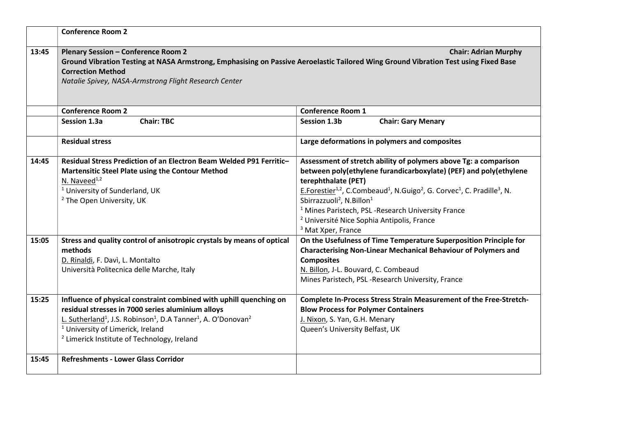|       | <b>Conference Room 2</b>                                                                                                                                                                                                                                                                                                                           |                                                                                                                                                                                                                                                                                                                                                                                                                                                                                                                     |
|-------|----------------------------------------------------------------------------------------------------------------------------------------------------------------------------------------------------------------------------------------------------------------------------------------------------------------------------------------------------|---------------------------------------------------------------------------------------------------------------------------------------------------------------------------------------------------------------------------------------------------------------------------------------------------------------------------------------------------------------------------------------------------------------------------------------------------------------------------------------------------------------------|
| 13:45 | <b>Plenary Session - Conference Room 2</b><br>Ground Vibration Testing at NASA Armstrong, Emphasising on Passive Aeroelastic Tailored Wing Ground Vibration Test using Fixed Base<br><b>Correction Method</b><br>Natalie Spivey, NASA-Armstrong Flight Research Center                                                                             | <b>Chair: Adrian Murphy</b>                                                                                                                                                                                                                                                                                                                                                                                                                                                                                         |
|       | <b>Conference Room 2</b>                                                                                                                                                                                                                                                                                                                           | <b>Conference Room 1</b>                                                                                                                                                                                                                                                                                                                                                                                                                                                                                            |
|       | <b>Chair: TBC</b><br>Session 1.3a                                                                                                                                                                                                                                                                                                                  | Session 1.3b<br><b>Chair: Gary Menary</b>                                                                                                                                                                                                                                                                                                                                                                                                                                                                           |
|       | <b>Residual stress</b>                                                                                                                                                                                                                                                                                                                             | Large deformations in polymers and composites                                                                                                                                                                                                                                                                                                                                                                                                                                                                       |
| 14:45 | Residual Stress Prediction of an Electron Beam Welded P91 Ferritic-<br>Martensitic Steel Plate using the Contour Method<br>N. Naveed <sup>1,2</sup><br><sup>1</sup> University of Sunderland, UK<br><sup>2</sup> The Open University, UK                                                                                                           | Assessment of stretch ability of polymers above Tg: a comparison<br>between poly(ethylene furandicarboxylate) (PEF) and poly(ethylene<br>terephthalate (PET)<br>E.Forestier <sup>1,2</sup> , C.Combeaud <sup>1</sup> , N.Guigo <sup>2</sup> , G. Corvec <sup>1</sup> , C. Pradille <sup>3</sup> , N.<br>Sbirrazzuoli <sup>2</sup> , N.Billon <sup>1</sup><br><sup>1</sup> Mines Paristech, PSL-Research University France<br><sup>2</sup> Université Nice Sophia Antipolis, France<br><sup>3</sup> Mat Xper, France |
| 15:05 | Stress and quality control of anisotropic crystals by means of optical<br>methods<br>D. Rinaldi, F. Davì, L. Montalto<br>Università Politecnica delle Marche, Italy                                                                                                                                                                                | On the Usefulness of Time Temperature Superposition Principle for<br><b>Characterising Non-Linear Mechanical Behaviour of Polymers and</b><br><b>Composites</b><br>N. Billon, J-L. Bouvard, C. Combeaud<br>Mines Paristech, PSL-Research University, France                                                                                                                                                                                                                                                         |
| 15:25 | Influence of physical constraint combined with uphill quenching on<br>residual stresses in 7000 series aluminium alloys<br>L. Sutherland <sup>1</sup> , J.S. Robinson <sup>1</sup> , D.A Tanner <sup>1</sup> , A. O'Donovan <sup>2</sup><br><sup>1</sup> University of Limerick, Ireland<br><sup>2</sup> Limerick Institute of Technology, Ireland | Complete In-Process Stress Strain Measurement of the Free-Stretch-<br><b>Blow Process for Polymer Containers</b><br>J. Nixon, S. Yan, G.H. Menary<br>Queen's University Belfast, UK                                                                                                                                                                                                                                                                                                                                 |
| 15:45 | <b>Refreshments - Lower Glass Corridor</b>                                                                                                                                                                                                                                                                                                         |                                                                                                                                                                                                                                                                                                                                                                                                                                                                                                                     |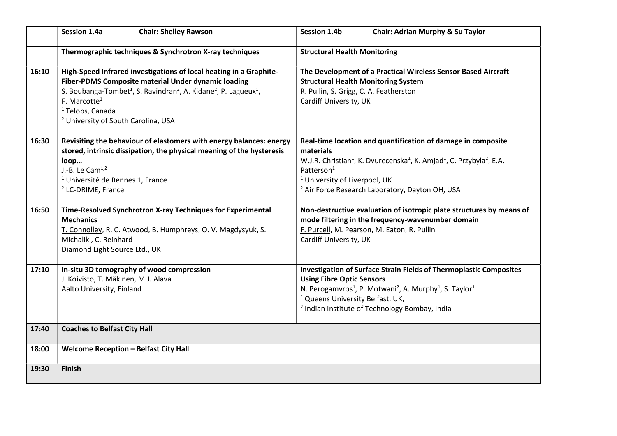|       | <b>Chair: Shelley Rawson</b><br>Session 1.4a                                                                                                                                                                                                                                                                                                               | <b>Session 1.4b</b><br>Chair: Adrian Murphy & Su Taylor                                                                                                                                                                                                                                                                                |
|-------|------------------------------------------------------------------------------------------------------------------------------------------------------------------------------------------------------------------------------------------------------------------------------------------------------------------------------------------------------------|----------------------------------------------------------------------------------------------------------------------------------------------------------------------------------------------------------------------------------------------------------------------------------------------------------------------------------------|
|       | Thermographic techniques & Synchrotron X-ray techniques                                                                                                                                                                                                                                                                                                    | <b>Structural Health Monitoring</b>                                                                                                                                                                                                                                                                                                    |
| 16:10 | High-Speed Infrared investigations of local heating in a Graphite-<br>Fiber-PDMS Composite material Under dynamic loading<br>S. Boubanga-Tombet <sup>1</sup> , S. Ravindran <sup>2</sup> , A. Kidane <sup>2</sup> , P. Lagueux <sup>1</sup> ,<br>F. Marcotte <sup>1</sup><br><sup>1</sup> Telops, Canada<br><sup>2</sup> University of South Carolina, USA | The Development of a Practical Wireless Sensor Based Aircraft<br><b>Structural Health Monitoring System</b><br>R. Pullin, S. Grigg, C. A. Featherston<br>Cardiff University, UK                                                                                                                                                        |
| 16:30 | Revisiting the behaviour of elastomers with energy balances: energy<br>stored, intrinsic dissipation, the physical meaning of the hysteresis<br>loop<br>J.-B. Le Cam <sup>1,2</sup><br><sup>1</sup> Université de Rennes 1, France<br><sup>2</sup> LC-DRIME, France                                                                                        | Real-time location and quantification of damage in composite<br>materials<br>W.J.R. Christian <sup>1</sup> , K. Dvurecenska <sup>1</sup> , K. Amjad <sup>1</sup> , C. Przybyla <sup>2</sup> , E.A.<br>Patterson <sup>1</sup><br><sup>1</sup> University of Liverpool, UK<br><sup>2</sup> Air Force Research Laboratory, Dayton OH, USA |
| 16:50 | Time-Resolved Synchrotron X-ray Techniques for Experimental<br><b>Mechanics</b><br>T. Connolley, R. C. Atwood, B. Humphreys, O. V. Magdysyuk, S.<br>Michalik, C. Reinhard<br>Diamond Light Source Ltd., UK                                                                                                                                                 | Non-destructive evaluation of isotropic plate structures by means of<br>mode filtering in the frequency-wavenumber domain<br>F. Purcell, M. Pearson, M. Eaton, R. Pullin<br>Cardiff University, UK                                                                                                                                     |
| 17:10 | In-situ 3D tomography of wood compression<br>J. Koivisto, T. Mäkinen, M.J. Alava<br>Aalto University, Finland                                                                                                                                                                                                                                              | <b>Investigation of Surface Strain Fields of Thermoplastic Composites</b><br><b>Using Fibre Optic Sensors</b><br>N. Perogamvros <sup>1</sup> , P. Motwani <sup>2</sup> , A. Murphy <sup>1</sup> , S. Taylor <sup>1</sup><br><sup>1</sup> Queens University Belfast, UK,<br><sup>2</sup> Indian Institute of Technology Bombay, India   |
| 17:40 | <b>Coaches to Belfast City Hall</b>                                                                                                                                                                                                                                                                                                                        |                                                                                                                                                                                                                                                                                                                                        |
| 18:00 | <b>Welcome Reception - Belfast City Hall</b>                                                                                                                                                                                                                                                                                                               |                                                                                                                                                                                                                                                                                                                                        |
| 19:30 | <b>Finish</b>                                                                                                                                                                                                                                                                                                                                              |                                                                                                                                                                                                                                                                                                                                        |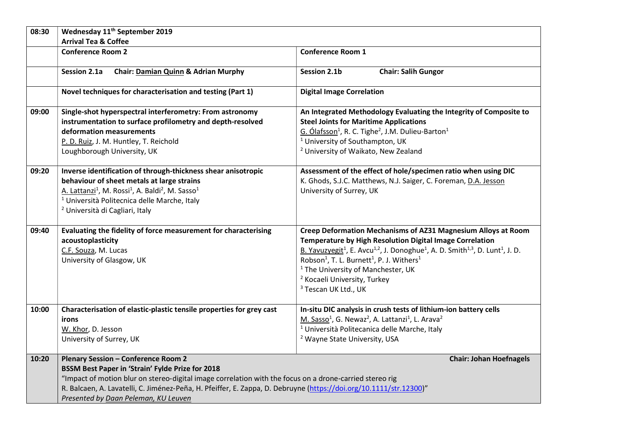| 08:30 | Wednesday 11 <sup>th</sup> September 2019                                                                                                                                                                                                                                                                                                                               |                                                                                                                                                                                                                                                                                                                                                                                                                                                                                         |
|-------|-------------------------------------------------------------------------------------------------------------------------------------------------------------------------------------------------------------------------------------------------------------------------------------------------------------------------------------------------------------------------|-----------------------------------------------------------------------------------------------------------------------------------------------------------------------------------------------------------------------------------------------------------------------------------------------------------------------------------------------------------------------------------------------------------------------------------------------------------------------------------------|
|       | <b>Arrival Tea &amp; Coffee</b>                                                                                                                                                                                                                                                                                                                                         |                                                                                                                                                                                                                                                                                                                                                                                                                                                                                         |
|       | <b>Conference Room 2</b>                                                                                                                                                                                                                                                                                                                                                | <b>Conference Room 1</b>                                                                                                                                                                                                                                                                                                                                                                                                                                                                |
|       | Chair: Damian Quinn & Adrian Murphy<br>Session 2.1a                                                                                                                                                                                                                                                                                                                     | <b>Chair: Salih Gungor</b><br>Session 2.1b                                                                                                                                                                                                                                                                                                                                                                                                                                              |
|       | Novel techniques for characterisation and testing (Part 1)                                                                                                                                                                                                                                                                                                              | <b>Digital Image Correlation</b>                                                                                                                                                                                                                                                                                                                                                                                                                                                        |
| 09:00 | Single-shot hyperspectral interferometry: From astronomy<br>instrumentation to surface profilometry and depth-resolved<br>deformation measurements<br>P. D. Ruiz, J. M. Huntley, T. Reichold<br>Loughborough University, UK                                                                                                                                             | An Integrated Methodology Evaluating the Integrity of Composite to<br><b>Steel Joints for Maritime Applications</b><br>G. Ólafsson <sup>1</sup> , R. C. Tighe <sup>2</sup> , J.M. Dulieu-Barton <sup>1</sup><br><sup>1</sup> University of Southampton, UK<br><sup>2</sup> University of Waikato, New Zealand                                                                                                                                                                           |
| 09:20 | Inverse identification of through-thickness shear anisotropic<br>behaviour of sheet metals at large strains<br>A. Lattanzi <sup>1</sup> , M. Rossi <sup>1</sup> , A. Baldi <sup>2</sup> , M. Sasso <sup>1</sup><br><sup>1</sup> Università Politecnica delle Marche, Italy<br><sup>2</sup> Università di Cagliari, Italy                                                | Assessment of the effect of hole/specimen ratio when using DIC<br>K. Ghods, S.J.C. Matthews, N.J. Saiger, C. Foreman, D.A. Jesson<br>University of Surrey, UK                                                                                                                                                                                                                                                                                                                           |
| 09:40 | Evaluating the fidelity of force measurement for characterising<br>acoustoplasticity<br>C.F. Souza, M. Lucas<br>University of Glasgow, UK                                                                                                                                                                                                                               | Creep Deformation Mechanisms of AZ31 Magnesium Alloys at Room<br>Temperature by High Resolution Digital Image Correlation<br>B. Yavuzyegit <sup>1</sup> , E. Avcu <sup>1,2</sup> , J. Donoghue <sup>1</sup> , A. D. Smith <sup>1,3</sup> , D. Lunt <sup>1</sup> , J. D.<br>Robson <sup>1</sup> , T. L. Burnett <sup>1</sup> , P. J. Withers <sup>1</sup><br><sup>1</sup> The University of Manchester, UK<br><sup>2</sup> Kocaeli University, Turkey<br><sup>3</sup> Tescan UK Ltd., UK |
| 10:00 | Characterisation of elastic-plastic tensile properties for grey cast<br>irons<br>W. Khor, D. Jesson<br>University of Surrey, UK                                                                                                                                                                                                                                         | In-situ DIC analysis in crush tests of lithium-ion battery cells<br>M. Sasso <sup>1</sup> , G. Newaz <sup>2</sup> , A. Lattanzi <sup>1</sup> , L. Arava <sup>2</sup><br><sup>1</sup> Università Politecanica delle Marche, Italy<br><sup>2</sup> Wayne State University, USA                                                                                                                                                                                                            |
| 10:20 | <b>Plenary Session - Conference Room 2</b><br>BSSM Best Paper in 'Strain' Fylde Prize for 2018<br>"Impact of motion blur on stereo-digital image correlation with the focus on a drone-carried stereo rig<br>R. Balcaen, A. Lavatelli, C. Jiménez-Peña, H. Pfeiffer, E. Zappa, D. Debruyne (https://doi.org/10.1111/str.12300)"<br>Presented by Daan Peleman, KU Leuven | <b>Chair: Johan Hoefnagels</b>                                                                                                                                                                                                                                                                                                                                                                                                                                                          |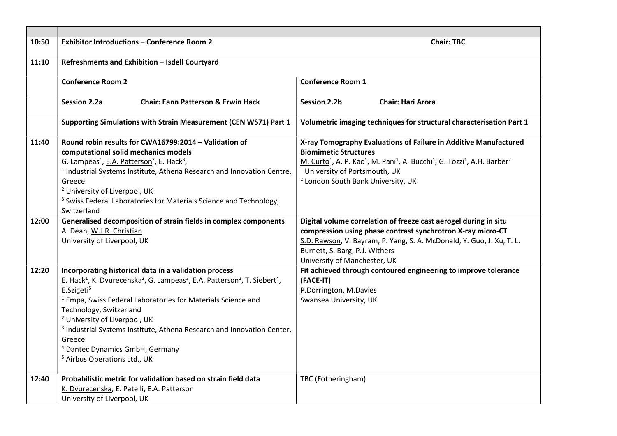| 10:50 | <b>Exhibitor Introductions - Conference Room 2</b>                                                                                                                                                                                                                                                                                                                                                                                                                                                                                                                  | <b>Chair: TBC</b>                                                                                                                                                                                                                                                                                                                                   |
|-------|---------------------------------------------------------------------------------------------------------------------------------------------------------------------------------------------------------------------------------------------------------------------------------------------------------------------------------------------------------------------------------------------------------------------------------------------------------------------------------------------------------------------------------------------------------------------|-----------------------------------------------------------------------------------------------------------------------------------------------------------------------------------------------------------------------------------------------------------------------------------------------------------------------------------------------------|
| 11:10 | Refreshments and Exhibition - Isdell Courtyard                                                                                                                                                                                                                                                                                                                                                                                                                                                                                                                      |                                                                                                                                                                                                                                                                                                                                                     |
|       | <b>Conference Room 2</b>                                                                                                                                                                                                                                                                                                                                                                                                                                                                                                                                            | <b>Conference Room 1</b>                                                                                                                                                                                                                                                                                                                            |
|       | <b>Chair: Eann Patterson &amp; Erwin Hack</b><br><b>Session 2.2a</b>                                                                                                                                                                                                                                                                                                                                                                                                                                                                                                | <b>Session 2.2b</b><br><b>Chair: Hari Arora</b>                                                                                                                                                                                                                                                                                                     |
|       | Supporting Simulations with Strain Measurement (CEN WS71) Part 1                                                                                                                                                                                                                                                                                                                                                                                                                                                                                                    | Volumetric imaging techniques for structural characterisation Part 1                                                                                                                                                                                                                                                                                |
| 11:40 | Round robin results for CWA16799:2014 - Validation of<br>computational solid mechanics models<br>G. Lampeas <sup>1</sup> , E.A. Patterson <sup>2</sup> , E. Hack <sup>3</sup> ,<br><sup>1</sup> Industrial Systems Institute, Athena Research and Innovation Centre,<br>Greece<br><sup>2</sup> University of Liverpool, UK<br><sup>3</sup> Swiss Federal Laboratories for Materials Science and Technology,<br>Switzerland                                                                                                                                          | X-ray Tomography Evaluations of Failure in Additive Manufactured<br><b>Biomimetic Structures</b><br>M. Curto <sup>1</sup> , A. P. Kao <sup>1</sup> , M. Pani <sup>1</sup> , A. Bucchi <sup>1</sup> , G. Tozzi <sup>1</sup> , A.H. Barber <sup>2</sup><br><sup>1</sup> University of Portsmouth, UK<br><sup>2</sup> London South Bank University, UK |
| 12:00 | Generalised decomposition of strain fields in complex components<br>A. Dean, W.J.R. Christian<br>University of Liverpool, UK                                                                                                                                                                                                                                                                                                                                                                                                                                        | Digital volume correlation of freeze cast aerogel during in situ<br>compression using phase contrast synchrotron X-ray micro-CT<br>S.D. Rawson, V. Bayram, P. Yang, S. A. McDonald, Y. Guo, J. Xu, T. L.<br>Burnett, S. Barg, P.J. Withers<br>University of Manchester, UK                                                                          |
| 12:20 | Incorporating historical data in a validation process<br>E. Hack <sup>1</sup> , K. Dvurecenska <sup>2</sup> , G. Lampeas <sup>3</sup> , E.A. Patterson <sup>2</sup> , T. Siebert <sup>4</sup> ,<br>E.Szigeti <sup>5</sup><br><sup>1</sup> Empa, Swiss Federal Laboratories for Materials Science and<br>Technology, Switzerland<br><sup>2</sup> University of Liverpool, UK<br><sup>3</sup> Industrial Systems Institute, Athena Research and Innovation Center,<br>Greece<br><sup>4</sup> Dantec Dynamics GmbH, Germany<br><sup>5</sup> Airbus Operations Ltd., UK | Fit achieved through contoured engineering to improve tolerance<br>(FACE-IT)<br>P.Dorrington, M.Davies<br>Swansea University, UK                                                                                                                                                                                                                    |
| 12:40 | Probabilistic metric for validation based on strain field data<br>K. Dvurecenska, E. Patelli, E.A. Patterson<br>University of Liverpool, UK                                                                                                                                                                                                                                                                                                                                                                                                                         | TBC (Fotheringham)                                                                                                                                                                                                                                                                                                                                  |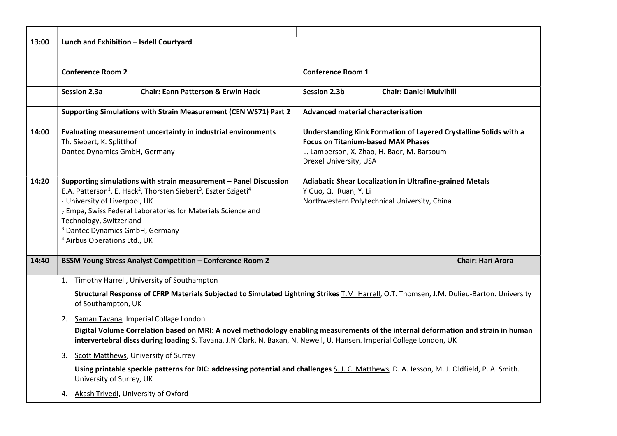| 13:00 | Lunch and Exhibition - Isdell Courtyard                                                                                                                                                                                                                                                                                                                                                                    |                                                                                                                                                                                        |
|-------|------------------------------------------------------------------------------------------------------------------------------------------------------------------------------------------------------------------------------------------------------------------------------------------------------------------------------------------------------------------------------------------------------------|----------------------------------------------------------------------------------------------------------------------------------------------------------------------------------------|
|       | <b>Conference Room 2</b>                                                                                                                                                                                                                                                                                                                                                                                   | <b>Conference Room 1</b>                                                                                                                                                               |
|       | <b>Session 2.3a</b><br><b>Chair: Eann Patterson &amp; Erwin Hack</b>                                                                                                                                                                                                                                                                                                                                       | <b>Chair: Daniel Mulvihill</b><br>Session 2.3b                                                                                                                                         |
|       | Supporting Simulations with Strain Measurement (CEN WS71) Part 2                                                                                                                                                                                                                                                                                                                                           | Advanced material characterisation                                                                                                                                                     |
| 14:00 | Evaluating measurement uncertainty in industrial environments<br>Th. Siebert, K. Splitthof<br>Dantec Dynamics GmbH, Germany                                                                                                                                                                                                                                                                                | Understanding Kink Formation of Layered Crystalline Solids with a<br><b>Focus on Titanium-based MAX Phases</b><br>L. Lamberson, X. Zhao, H. Badr, M. Barsoum<br>Drexel University, USA |
| 14:20 | Supporting simulations with strain measurement - Panel Discussion<br>E.A. Patterson <sup>1</sup> , E. Hack <sup>2</sup> , Thorsten Siebert <sup>3</sup> , Eszter Szigeti <sup>4</sup><br>1 University of Liverpool, UK<br>2 Empa, Swiss Federal Laboratories for Materials Science and<br>Technology, Switzerland<br><sup>3</sup> Dantec Dynamics GmbH, Germany<br><sup>4</sup> Airbus Operations Ltd., UK | Adiabatic Shear Localization in Ultrafine-grained Metals<br>Y Guo, Q. Ruan, Y. Li<br>Northwestern Polytechnical University, China                                                      |
| 14:40 | <b>BSSM Young Stress Analyst Competition - Conference Room 2</b>                                                                                                                                                                                                                                                                                                                                           | <b>Chair: Hari Arora</b>                                                                                                                                                               |
|       | Timothy Harrell, University of Southampton<br>1.<br>Structural Response of CFRP Materials Subjected to Simulated Lightning Strikes T.M. Harrell, O.T. Thomsen, J.M. Dulieu-Barton. University<br>of Southampton, UK<br>2. Saman Tavana, Imperial Collage London                                                                                                                                            |                                                                                                                                                                                        |
|       | Digital Volume Correlation based on MRI: A novel methodology enabling measurements of the internal deformation and strain in human<br>intervertebral discs during loading S. Tavana, J.N.Clark, N. Baxan, N. Newell, U. Hansen. Imperial College London, UK                                                                                                                                                |                                                                                                                                                                                        |
|       | 3. Scott Matthews, University of Surrey                                                                                                                                                                                                                                                                                                                                                                    |                                                                                                                                                                                        |
|       | University of Surrey, UK                                                                                                                                                                                                                                                                                                                                                                                   | Using printable speckle patterns for DIC: addressing potential and challenges S. J. C. Matthews, D. A. Jesson, M. J. Oldfield, P. A. Smith.                                            |
|       | 4. Akash Trivedi, University of Oxford                                                                                                                                                                                                                                                                                                                                                                     |                                                                                                                                                                                        |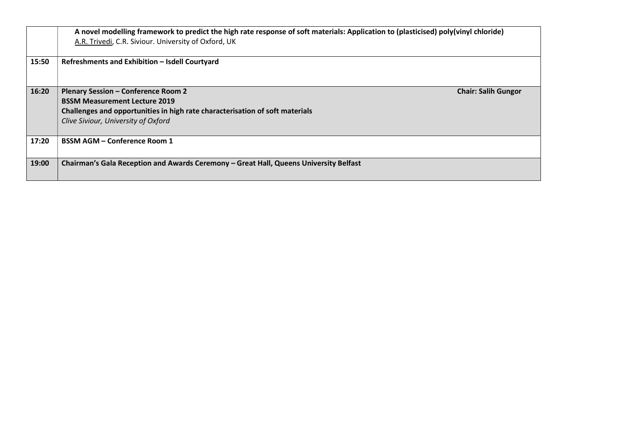|       | A novel modelling framework to predict the high rate response of soft materials: Application to (plasticised) poly(vinyl chloride)<br>A.R. Trivedi, C.R. Siviour. University of Oxford, UK                |                            |
|-------|-----------------------------------------------------------------------------------------------------------------------------------------------------------------------------------------------------------|----------------------------|
| 15:50 | Refreshments and Exhibition - Isdell Courtyard                                                                                                                                                            |                            |
| 16:20 | <b>Plenary Session - Conference Room 2</b><br><b>BSSM Measurement Lecture 2019</b><br>Challenges and opportunities in high rate characterisation of soft materials<br>Clive Siviour, University of Oxford | <b>Chair: Salih Gungor</b> |
| 17:20 | <b>BSSM AGM - Conference Room 1</b>                                                                                                                                                                       |                            |
| 19:00 | Chairman's Gala Reception and Awards Ceremony - Great Hall, Queens University Belfast                                                                                                                     |                            |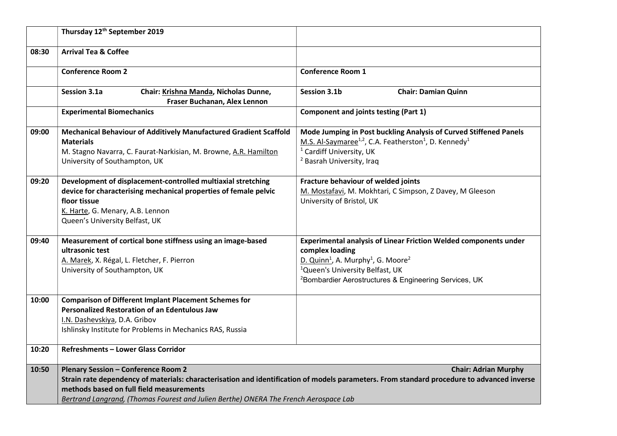|       | Thursday 12 <sup>th</sup> September 2019                                                                                                                                                                               |                                                                                                                                                                                                                                                                                   |
|-------|------------------------------------------------------------------------------------------------------------------------------------------------------------------------------------------------------------------------|-----------------------------------------------------------------------------------------------------------------------------------------------------------------------------------------------------------------------------------------------------------------------------------|
| 08:30 | <b>Arrival Tea &amp; Coffee</b>                                                                                                                                                                                        |                                                                                                                                                                                                                                                                                   |
|       | <b>Conference Room 2</b>                                                                                                                                                                                               | <b>Conference Room 1</b>                                                                                                                                                                                                                                                          |
|       | Chair: Krishna Manda, Nicholas Dunne,<br>Session 3.1a<br>Fraser Buchanan, Alex Lennon                                                                                                                                  | <b>Chair: Damian Quinn</b><br>Session 3.1b                                                                                                                                                                                                                                        |
|       | <b>Experimental Biomechanics</b>                                                                                                                                                                                       | <b>Component and joints testing (Part 1)</b>                                                                                                                                                                                                                                      |
| 09:00 | Mechanical Behaviour of Additively Manufactured Gradient Scaffold<br><b>Materials</b><br>M. Stagno Navarra, C. Faurat-Narkisian, M. Browne, A.R. Hamilton<br>University of Southampton, UK                             | Mode Jumping in Post buckling Analysis of Curved Stiffened Panels<br>M.S. Al-Saymaree <sup>1,2</sup> , C.A. Featherston <sup>1</sup> , D. Kennedy <sup>1</sup><br><sup>1</sup> Cardiff University, UK<br><sup>2</sup> Basrah University, Iraq                                     |
| 09:20 | Development of displacement-controlled multiaxial stretching<br>device for characterising mechanical properties of female pelvic<br>floor tissue<br>K. Harte, G. Menary, A.B. Lennon<br>Queen's University Belfast, UK | Fracture behaviour of welded joints<br>M. Mostafavi, M. Mokhtari, C Simpson, Z Davey, M Gleeson<br>University of Bristol, UK                                                                                                                                                      |
| 09:40 | Measurement of cortical bone stiffness using an image-based<br>ultrasonic test<br>A. Marek, X. Régal, L. Fletcher, F. Pierron<br>University of Southampton, UK                                                         | Experimental analysis of Linear Friction Welded components under<br>complex loading<br>D. Quinn <sup>1</sup> , A. Murphy <sup>1</sup> , G. Moore <sup>2</sup><br><sup>1</sup> Queen's University Belfast, UK<br><sup>2</sup> Bombardier Aerostructures & Engineering Services, UK |
| 10:00 | <b>Comparison of Different Implant Placement Schemes for</b><br><b>Personalized Restoration of an Edentulous Jaw</b><br>I.N. Dashevskiya, D.A. Gribov<br>Ishlinsky Institute for Problems in Mechanics RAS, Russia     |                                                                                                                                                                                                                                                                                   |
| 10:20 | <b>Refreshments - Lower Glass Corridor</b>                                                                                                                                                                             |                                                                                                                                                                                                                                                                                   |
| 10:50 | <b>Plenary Session - Conference Room 2</b><br>methods based on full field measurements<br>Bertrand Langrand, (Thomas Fourest and Julien Berthe) ONERA The French Aerospace Lab                                         | <b>Chair: Adrian Murphy</b><br>Strain rate dependency of materials: characterisation and identification of models parameters. From standard procedure to advanced inverse                                                                                                         |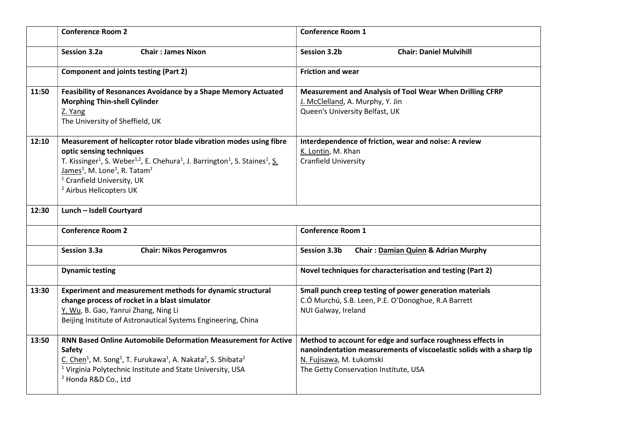|       | <b>Conference Room 2</b>                                                                                                                                                                                                                                                                                                                                                                       | <b>Conference Room 1</b>                                                                                                                                                                                 |
|-------|------------------------------------------------------------------------------------------------------------------------------------------------------------------------------------------------------------------------------------------------------------------------------------------------------------------------------------------------------------------------------------------------|----------------------------------------------------------------------------------------------------------------------------------------------------------------------------------------------------------|
|       | Session 3.2a<br><b>Chair: James Nixon</b>                                                                                                                                                                                                                                                                                                                                                      | <b>Chair: Daniel Mulvihill</b><br><b>Session 3.2b</b>                                                                                                                                                    |
|       | <b>Component and joints testing (Part 2)</b>                                                                                                                                                                                                                                                                                                                                                   | <b>Friction and wear</b>                                                                                                                                                                                 |
| 11:50 | Feasibility of Resonances Avoidance by a Shape Memory Actuated<br><b>Morphing Thin-shell Cylinder</b><br>Z. Yang<br>The University of Sheffield, UK                                                                                                                                                                                                                                            | Measurement and Analysis of Tool Wear When Drilling CFRP<br>J. McClelland, A. Murphy, Y. Jin<br>Queen's University Belfast, UK                                                                           |
| 12:10 | Measurement of helicopter rotor blade vibration modes using fibre<br>optic sensing techniques<br>T. Kissinger <sup>1</sup> , S. Weber <sup>1,2</sup> , E. Chehura <sup>1</sup> , J. Barrington <sup>1</sup> , S. Staines <sup>1</sup> , S.<br>James <sup>1</sup> , M. Lone <sup>1</sup> , R. Tatam <sup>1</sup><br><sup>1</sup> Cranfield University, UK<br><sup>2</sup> Airbus Helicopters UK | Interdependence of friction, wear and noise: A review<br>K. Lontin, M. Khan<br><b>Cranfield University</b>                                                                                               |
| 12:30 | Lunch - Isdell Courtyard                                                                                                                                                                                                                                                                                                                                                                       |                                                                                                                                                                                                          |
|       | <b>Conference Room 2</b>                                                                                                                                                                                                                                                                                                                                                                       | <b>Conference Room 1</b>                                                                                                                                                                                 |
|       | Session 3.3a<br><b>Chair: Nikos Perogamvros</b>                                                                                                                                                                                                                                                                                                                                                | <b>Session 3.3b</b><br>Chair: Damian Quinn & Adrian Murphy                                                                                                                                               |
|       | <b>Dynamic testing</b>                                                                                                                                                                                                                                                                                                                                                                         | Novel techniques for characterisation and testing (Part 2)                                                                                                                                               |
| 13:30 | Experiment and measurement methods for dynamic structural<br>change process of rocket in a blast simulator<br>Y. Wu, B. Gao, Yanrui Zhang, Ning Li<br>Beijing Institute of Astronautical Systems Engineering, China                                                                                                                                                                            | Small punch creep testing of power generation materials<br>C.Ó Murchú, S.B. Leen, P.E. O'Donoghue, R.A Barrett<br>NUI Galway, Ireland                                                                    |
| 13:50 | <b>RNN Based Online Automobile Deformation Measurement for Active</b><br>Safety<br>C. Chen <sup>1</sup> , M. Song <sup>1</sup> , T. Furukawa <sup>1</sup> , A. Nakata <sup>2</sup> , S. Shibata <sup>2</sup><br><sup>1</sup> Virginia Polytechnic Institute and State University, USA<br><sup>2</sup> Honda R&D Co., Ltd                                                                       | Method to account for edge and surface roughness effects in<br>nanoindentation measurements of viscoelastic solids with a sharp tip<br>N. Fujisawa, M. Łukomski<br>The Getty Conservation Institute, USA |